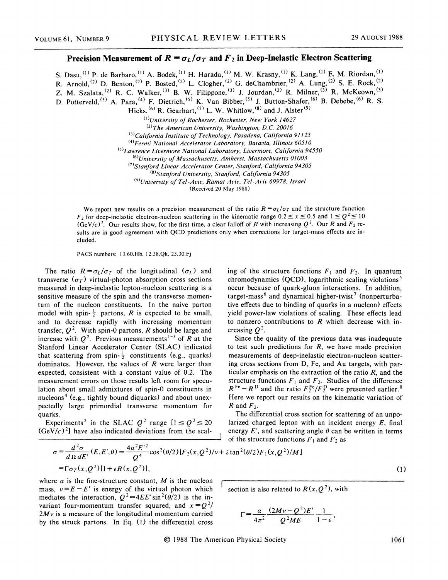## **Precision Measurement of**  $R = \sigma_L/\sigma_T$  **and**  $F_2$  **in Deep-Inelastic Electron Scattering**

S. Dasu, <sup>(1)</sup> P. de Barbaro, <sup>(1)</sup> A. Bodek, <sup>(1)</sup> H. Harada, <sup>(1)</sup> M. W. Krasny, <sup>(1)</sup> K. Lang, <sup>(1)</sup> E. M. Riordan, <sup>(1)</sup> R. Arnold,  $^{(2)}$  D. Benton,  $^{(2)}$  P. Bosted,  $^{(2)}$  L. Clogher,  $^{(2)}$  G. deChambrier,  $^{(2)}$  A. Lung,  $^{(2)}$  S. E. Rock,  $^{(2)}$ Z. M. Szalata, <sup>(2)</sup> R. C. Walker, <sup>(3)</sup> B. W. Filippone, <sup>(3)</sup> J. Jourdan, <sup>(3)</sup> R. Milner, <sup>(3)</sup> R. McKeown, <sup>(3)</sup> D. Potterveld, <sup>(3)</sup> A. Para, <sup>(4)</sup> F. Dietrich, <sup>(5)</sup> K. Van Bibber, <sup>(5)</sup> J. Button-Shafer, <sup>(6)</sup> B. Debebe, <sup>(6)</sup> R. S. Hicks,  $^{(6)}$  R. Gearhart,  $^{(7)}$  L. W. Whitlow,  $^{(8)}$  and J. Alster  $^{(9)}$ 

*o>university of Rochester, Rochester, New York 14627* 

<sup>&</sup>lt;4> *Fermi National Accelerator Laboratory, Batavia, Illinois 60510* 

cs> *Lawrence Livermore National Laboratory, Livermore, California 94550* 

C6*>University of Massachusetts, Amherst, Massachusetts 01003* 

*C7>stanford Linear Accelerator Center, Stanford, California 94305* 

cs> *Stanford University, Stanford, California 94305* 

<sup>(9)</sup>University of Tel-Aviv, Ramat Aviv, Tel-Aviv 69978, Israel

(Received 20 May 1988)

We report new results on a precision measurement of the ratio  $R = \sigma_L / \sigma_T$  and the structure function *F<sub>2</sub>* for deep-inelastic electron-nucleon scattering in the kinematic range  $0.2 \le x \le 0.5$  and  $1 \le Q^2 \le 10$  $(GeV/c)^2$ . Our results show, for the first time, a clear falloff of *R* with increasing  $Q^2$ . Our *R* and  $F_2$  results are in good agreement with QCD predictions only when corrections for target-mass effects are included.

PACS numbers: 13.60.Hb, 12.38.Qk, 25.30.Fj

The ratio  $R = \sigma_L/\sigma_T$  of the longitudinal ( $\sigma_L$ ) and transverse  $(\sigma_T)$  virtual-photon absorption cross sections measured in deep-inelastic lepton-nucleon scattering is a sensitive measure of the spin and the transverse momentum of the nucleon constituents. In the naive parton model with spin- $\frac{1}{2}$  partons, *R* is expected to be small, and to decrease rapidly with increasing momentum transfer,  $Q^2$ . With spin-0 partons, *R* should be large and increase with  $Q^2$ . Previous measurements<sup>1-3</sup> of *R* at the Stanford Linear Accelerator Center (SLAC) indicated that scattering from spin- $\frac{1}{2}$  constituents (e.g., quarks) dominates. However, the values of *R* were larger than expected, consistent with a constant value of 0.2. The measurement errors on those results left room for speculation about small admixtures of spin-0 constituents in nucleons<sup>4</sup> (e.g., tightly bound diquarks) and about unexpectedly large primordial transverse momentum for quarks.

Experiments<sup>2</sup> in the SLAC  $Q^2$  range  $[1 \le Q^2 \le 20$  $(GeV/c)^2$  have also indicated deviations from the scaling of the structure functions  $F_1$  and  $F_2$ . In quantum chromodynamics (QCD), logarithmic scaling violations<sup>5</sup> occur because of quark-gluon interactions. In addition, target-mass<sup>6</sup> and dynamical higher-twist<sup>7</sup> (nonperturbative effects due to binding of quarks in a nucleon) effects yield power-law violations of scaling. These effects lead to nonzero contributions to *R* which decrease with increasing  $Q^2$ .

Since the quality of the previous data was inadequate to test such predictions for  $R$ , we have made precision measurements of deep-inelastic electron-nucleon scattering cross sections from D, Fe, and Au targets, with particular emphasis on the extraction of the ratio  $R$ , and the structure functions  $F_1$  and  $F_2$ . Studies of the difference  $R^{Fe}-R^{D}$  and the ratio  $F_2^{Fe}/F_2^{D}$  were presented earlier.<sup>8</sup> Here we report our results on the kinematic variation of  $R$  and  $F_2$ .

The differential cross section for scattering of an unpolarized charged lepton with an incident energy *E,* final energy  $E'$ , and scattering angle  $\theta$  can be written in terms of the structure functions  $F_1$  and  $F_2$  as

$$
\sigma = \frac{d^2 \sigma}{d \Omega dE'}(E, E', \theta) = \frac{4\alpha^2 E'^2}{Q^4} \cos^2(\theta/2) [F_2(x, Q^2)/\nu + 2 \tan^2(\theta/2) F_1(x, Q^2)/M]
$$
  
=  $\Gamma \sigma_T(x, Q^2) [1 + \epsilon R(x, Q^2)],$ 

where  $\alpha$  is the fine-structure constant,  $M$  is the nucleon mass,  $v = E - E'$  is energy of the virtual photon which mediates the interaction,  $Q^2 = 4EE' \sin^2(\theta/2)$  is the invariant four-momentum transfer squared, and  $x = Q^2/$ *2Mv* is a measure of the longitudinal momentum carried by the struck partons. In Eq. ( 1) the differential cross

section is also related to  $R(x, Q^2)$ , with

$$
\Gamma = \frac{\alpha}{4\pi^2} \frac{(2Mv - Q^2)E'}{Q^2ME} \frac{1}{1 - \epsilon},
$$

<sup>&</sup>lt;sup>(2)</sup>The American University, Washington, D.C. 20016 *(3)California Institute of Technology, Pasadena, California 91125*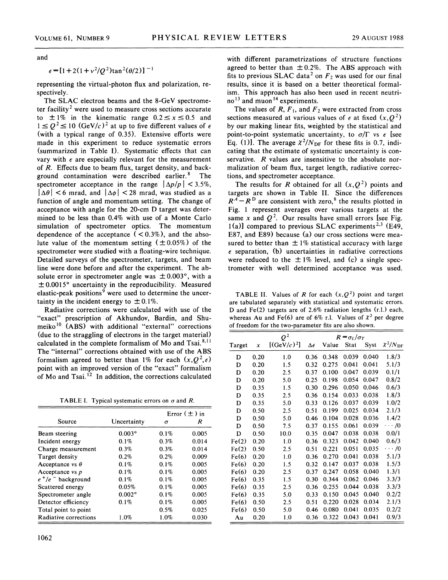and

 $\epsilon = [1 + 2(1 + v^2/Q^2)\tan^2(\theta/2)]^{-1}$ 

representing the virtual-photon flux and polarization, respectively.

The SLAC electron beams and the 8-GeV spectrometer facility<sup>2</sup> were used to measure cross sections accurate to  $\pm 1\%$  in the kinematic range  $0.2 \le x \le 0.5$  and  $1 \le Q^2 \le 10$  (GeV/c)<sup>2</sup> at up to five different values of  $\epsilon$ (with a typical range of 0.35). Extensive efforts were made in this experiment to reduce systematic errors (summarized in Table 1). Systematic effects that can vary with  $\epsilon$  are especially relevant for the measurement of *R.* Effects due to beam flux, target density, and background contamination were described earlier. 8 The spectrometer acceptance in the range  $|\Delta p/p| < 3.5\%$ ,  $|\Delta\theta|$  < 6 mrad, and  $|\Delta\phi|$  < 28 mrad, was studied as a function of angle and momentum setting. The change of acceptance with angle for the 20-cm D target was determined to be less than 0.4% with use of a Monte Carlo simulation of spectrometer optics. The momentum dependence of the acceptance  $(< 0.3\%)$ , and the absolute value of the momentum setting  $(\pm 0.05\%)$  of the spectrometer were studied with a floating-wire technique. Detailed surveys of the spectrometer, targets, and beam line were done before and after the experiment. The absolute error in spectrometer angle was  $\pm 0.003^{\circ}$ , with a  $\pm$  0.0015° uncertainty in the reproducibility. Measured elastic-peak positions<sup>9</sup> were used to determine the uncertainty in the incident energy to  $\pm 0.1\%$ .

Radiative corrections were calculated with use of the "exact" prescription of Akhundov, Bardin, and Shumeiko<sup>10</sup> (ABS) with additional "external" corrections (due to the straggling of electrons in the target material) calculated in the complete formalism of Mo and Tsai.<sup>8,11</sup> The "internal" corrections obtained with use of the ABS formalism agreed to better than 1% for each  $(x, Q^2, \epsilon)$ point with an improved version of the "exact" formalism of Mo and Tsai.<sup>12</sup> In addition, the corrections calculated

TABLE I. Typical systematic errors on  $\sigma$  and *R*.

|               |         | Error $(\pm)$ in |  |
|---------------|---------|------------------|--|
| Uncertainty   | σ       | R                |  |
| $0.003$ °     | 0.1%    | 0.005            |  |
| $0.1\%$       | 0.3%    | 0.014            |  |
| 0.3%          | 0.3%    | 0.014            |  |
| 0.2%          | 0.2%    | 0.009            |  |
| $0.1\%$       | 0.1%    | 0.005            |  |
| 0.1%          | $0.1\%$ | 0.005            |  |
| $0.1\%$       | 0.1%    | 0.005            |  |
| 0.05%         | $0.1\%$ | 0.005            |  |
| $0.002^\circ$ | $0.1\%$ | 0.005            |  |
| 0.1%          | 0.1%    | 0.005            |  |
|               | 0.5%    | 0.025            |  |
| 1.0%          | 1.0%    | 0.030            |  |
|               |         |                  |  |

with different parametrizations of structure functions agreed to better than  $\pm 0.2\%$ . The ABS approach with fits to previous SLAC data<sup>2</sup> on  $F_2$  was used for our final results, since it is based on a better theoretical formalism. This approach has also been used in recent neutrino<sup>13</sup> and muon<sup>14</sup> experiments.

The values of  $R$ ,  $F_1$ , and  $F_2$  were extracted from cross sections measured at various values of  $\epsilon$  at fixed  $(x, Q^2)$ by our making linear fits, weighted by the statistical and point-to-point systematic uncertainty, to  $\sigma/\Gamma$  vs  $\epsilon$  [see Eq. (1)]. The average  $\chi^2/N_{\text{DF}}$  for these fits is 0.7, indicating that the estimate of systematic uncertainty is conservative. *R* values are insensitive to the absolute normalization of beam flux, target length, radiative corrections, and spectrometer acceptance.

The results for *R* obtained for all  $(x, Q^2)$  points and targets are shown in Table II. Since the differences  $R^A - R^D$  are consistent with zero,<sup>8</sup> the results plotted in Fig. l represent averages over various targets at the same *x* and  $Q^2$ . Our results have small errors [see Fig. 1(a)] compared to previous SLAC experiments<sup>2,3</sup> (E49, E87, and E89) because (a) our cross sections were measured to better than  $\pm 1\%$  statistical accuracy with large  $\epsilon$  separation, (b) uncertainties in radiative corrections were reduced to the  $\pm 1\%$  level, and (c) a single spectrometer with well determined acceptance was used.

TABLE II. Values of R for each  $(x, 0^2)$  point and target are tabulated separately with statistical and systematic errors. D and Fe(2) targets are of 2.6% radiation lengths (r.l.) each, whereas Au and Fe(6) are of 6% r.l. Values of  $\chi^2$  per degree of freedom for the two-parameter fits are also shown.

|        |      | $Q^2$         | $R = \sigma_L/\sigma_T$ |       |       |       |                        |
|--------|------|---------------|-------------------------|-------|-------|-------|------------------------|
| Target | x    | $[(GeV/c)^2]$ | $\Delta \epsilon$       | Value | Stat  | Syst  | $\chi^2/N_{\text{DF}}$ |
| D      | 0.20 | 1.0           | 0.36                    | 0.348 | 0.039 | 0.040 | 1.8/3                  |
| D      | 0.20 | 1.5           | 0.32                    | 0.275 | 0.041 | 0.041 | 5.1/3                  |
| D      | 0.20 | 2.5           | 0.37                    | 0.100 | 0.047 | 0.039 | 0.1/1                  |
| D      | 0.20 | 5.0           | 0.25                    | 0.198 | 0.054 | 0.047 | 0.8/2                  |
| D      | 0.35 | 1.5           | 0.30                    | 0.296 | 0.050 | 0.046 | 0.6/3                  |
| D      | 0.35 | 2.5           | 0.36                    | 0.154 | 0.033 | 0.038 | 1.8/3                  |
| D      | 0.35 | 5.0           | 0.33                    | 0.126 | 0.037 | 0.039 | 1.0/2                  |
| D      | 0.50 | 2.5           | 0.51                    | 0.199 | 0.025 | 0.034 | 2.1/3                  |
| D      | 0.50 | 5.0           | 0.46                    | 0.104 | 0.028 | 0.036 | 1.4/2                  |
| D      | 0.50 | 7.5           | 0.37                    | 0.155 | 0.061 | 0.039 | $\cdots/0$             |
| D      | 0.50 | 10.0          | 0.35                    | 0.047 | 0.038 | 0.038 | 0.0/1                  |
| Fe(2)  | 0.20 | 1.0           | 0.36                    | 0.323 | 0.042 | 0.040 | 0.6/3                  |
| Fe(2)  | 0.50 | 2.5           | 0.51                    | 0.221 | 0.051 | 0.035 | $\cdots/0$             |
| Fe(6)  | 0.20 | 1.0           | 0.36                    | 0.270 | 0.041 | 0.038 | 5.1/3                  |
| Fe(6)  | 0.20 | 1.5           | 0.32                    | 0.147 | 0.037 | 0.038 | 1.5/3                  |
| Fe(6)  | 0.20 | 2.5           | 0.37                    | 0.247 | 0.058 | 0.040 | 1.3/1                  |
| Fe(6)  | 0.35 | 1.5           | 0.30                    | 0.344 | 0.062 | 0.046 | 3.3/3                  |
| Fe(6)  | 0.35 | 2.5           | 0.36                    | 0.255 | 0.044 | 0.038 | 3.3/3                  |
| Fe(6)  | 0.35 | 5.0           | 0.33                    | 0.150 | 0.045 | 0.040 | 0.2/2                  |
| Fe(6)  | 0.50 | 2.5           | 0.51                    | 0.220 | 0.028 | 0.034 | 2.1/3                  |
| Fe(6)  | 0.50 | 5.0           | 0.46                    | 0.080 | 0.041 | 0.035 | 0.2/2                  |
| Au     | 0.20 | 1.0           | 0.36                    | 0.322 | 0.043 | 0.041 | 0.9/3                  |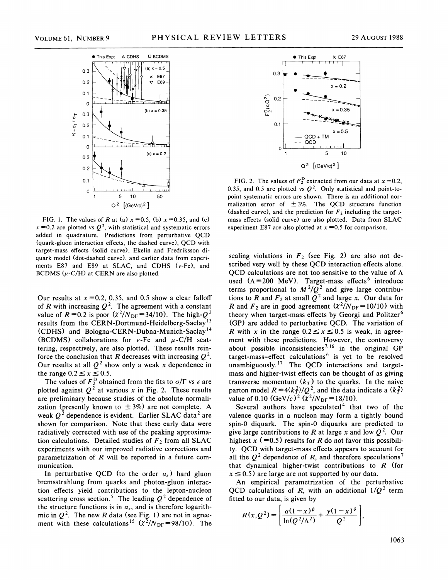

FIG. 1. The values of R at (a)  $x = 0.5$ , (b)  $x = 0.35$ , and (c)  $x = 0.2$  are plotted vs  $Q^2$ , with statistical and systematic errors added in quadrature. Predictions from perturbative QCD (quark-gluon interaction effects, the dashed curve), QCD with target-mass effects (solid curve), Ekelin and Fredriksson diquark model (dot-dashed curve), and earlier data from experiments E87 and E89 at SLAC, and CDHS (v-Fe), and BCDMS  $(\mu$ -C/H) at CERN are also plotted.

Our results at  $x = 0.2$ , 0.35, and 0.5 show a clear falloff of *R* with increasing  $Q^2$ . The agreement with a constant value of  $R=0.2$  is poor  $(\chi^2/N_{\text{DF}}=34/10)$ . The high- $Q^2$ results from the CERN-Dortmund-Heidelberg-Saclay<sup>13</sup> (CDHS) and Bologna-CERN-Dubna-Munich-Saclay <sup>14</sup> (BCDMS) collaborations for v-Fe and  $\mu$ -C/H scattering, respectively, are also plotted. These results reinforce the conclusion that *R* decreases with increasing  $Q^2$ . Our results at all  $Q^2$  show only a weak x dependence in the range  $0.2 \le x \le 0.5$ .

The values of  $F_2^D$  obtained from the fits to  $\sigma/\Gamma$  vs  $\epsilon$  are plotted against  $Q^2$  at various x in Fig. 2. These results are preliminary because studies of the absolute normalization (presently known to  $\pm 3\%$ ) are not complete. A weak  $Q^2$  dependence is evident. Earlier SLAC data<sup>2</sup> are shown for comparison. Note that these early data were radiatively corrected with use of the peaking approximation calculations. Detailed studies of  $F_2$  from all SLAC experiments with our improved radiative corrections and parametrization of  $R$  will be reported in a future communication.

In perturbative QCD (to the order  $\alpha_s$ ) hard gluon bremsstrahlung from quarks and photon-gluon interaction effects yield contributions to the lepton-nucleon scattering cross section.<sup>5</sup> The leading  $Q^2$  dependence of the structure functions is in  $\alpha_s$ , and is therefore logarithmic in  $Q^2$ . The new *R* data (see Fig. 1) are not in agreement with these calculations<sup>15</sup> ( $\chi^2/N_{\text{DF}} = 98/10$ ). The



FIG. 2. The values of  $F_2^D$  extracted from our data at  $x = 0.2$ , 0.35, and 0.5 are plotted vs  $Q^2$ . Only statistical and point-topoint systematic errors are shown. There is an additional normalization error of  $\pm 3\%$ . The QCD structure function (dashed curve), and the prediction for  $F_2$  including the targetmass effects (solid curve) are also plotted. Data from SLAC experiment E87 are also plotted at  $x = 0.5$  for comparison.

scaling violations in  $F_2$  (see Fig. 2) are also not described very well by these QCD interaction effects alone. QCD calculations are not too sensitive to the value of  $\Lambda$ used  $(\Lambda = 200 \text{ MeV})$ . Target-mass effects<sup>6</sup> introduce terms proportional to  $M^2/Q^2$  and give large contributions to R and  $F_2$  at small  $Q^2$  and large x. Our data for R and  $F_2$  are in good agreement  $(\chi^2/N_{\text{DF}}=10/10)$  with theory when target-mass effects by Georgi and Politzer<sup>6</sup> (GP) are added to perturbative QCD. The variation of *R* with *x* in the range  $0.2 \le x \le 0.5$  is weak, in agreement with these predictions. However, the controversy about possible inconsistencies<sup>7,16</sup> in the original  $\overrightarrow{GP}$ target-mass-effect calculations<sup>6</sup> is yet to be resolved unambiguously.<sup>17</sup> The QCD interactions and targetmass and higher-twist effects can be thought of as giving transverse momentum  $(k_T)$  to the quarks. In the naive parton model  $R = 4\langle k_T^2 \rangle / Q^2$ , and the data indicate a  $\langle k_T^2 \rangle$ value of 0.10  $(GeV/c)^2 (x^2/N_{DF} = 18/10)$ .

Several authors have speculated<sup>4</sup> that two of the valence quarks in a nucleon may form a tightly bound spin-0 diquark. The spin-0 diquarks are predicted to give large contributions to R at large x and low  $Q^2$ . Our highest  $x$  (=0.5) results for *R* do not favor this possibility. QCD with target-mass effects appears to account for all the  $Q^2$  dependence of R, and therefore speculations<sup>7</sup> that dynamical higher-twist contributions to *R* (for  $x \le 0.5$  are large are not supported by our data.

An empirical parametrization of the perturbative QCD calculations of R, with an additional  $1/Q^2$  term fitted to our data, is given by

$$
R(x,Q^{2}) = \left[ \frac{\alpha(1-x)^{\beta}}{\ln(Q^{2}/\Lambda^{2})} + \frac{\gamma(1-x)^{\delta}}{Q^{2}} \right],
$$